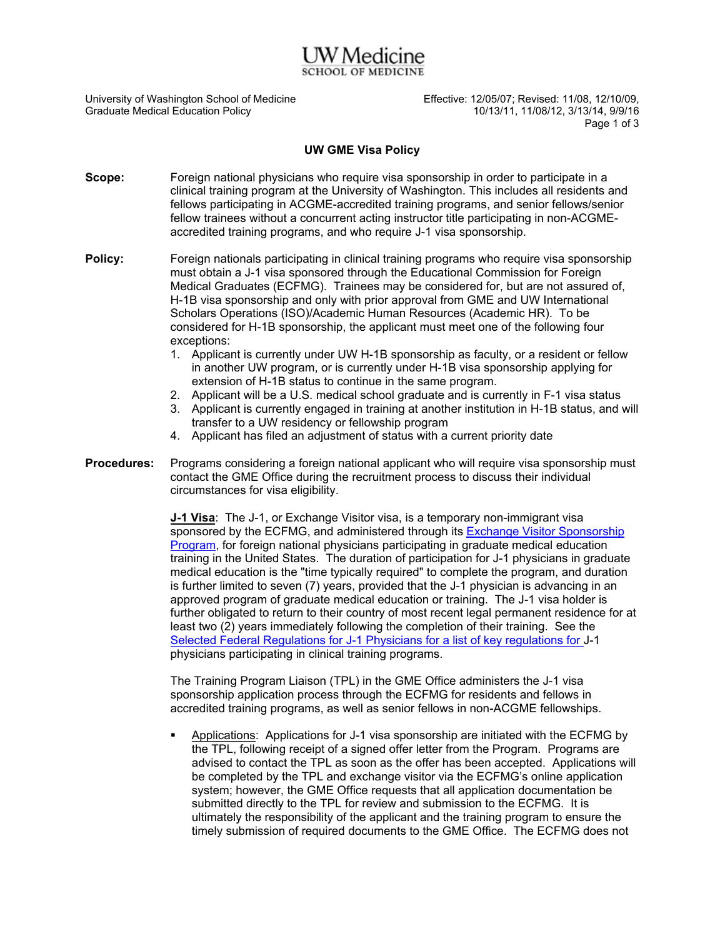## *N* Medicine **HOOL OF MEDICINE**

University of Washington School of Medicine **Effective: 12/05/07; Revised: 11/08, 12/10/09**, Graduate Medical Education Policy **Netally Constant Constant Constant Constant Constant Constant Constant Constant** Constant Cons 10/13/11, 11/08/12, 3/13/14, 9/9/16 Page 1 of 3

## **UW GME Visa Policy**

- **Scope:** Foreign national physicians who require visa sponsorship in order to participate in a clinical training program at the University of Washington. This includes all residents and fellows participating in ACGME-accredited training programs, and senior fellows/senior fellow trainees without a concurrent acting instructor title participating in non-ACGMEaccredited training programs, and who require J-1 visa sponsorship.
- **Policy:** Foreign nationals participating in clinical training programs who require visa sponsorship must obtain a J-1 visa sponsored through the Educational Commission for Foreign Medical Graduates (ECFMG). Trainees may be considered for, but are not assured of, H-1B visa sponsorship and only with prior approval from GME and UW International Scholars Operations (ISO)/Academic Human Resources (Academic HR). To be considered for H-1B sponsorship, the applicant must meet one of the following four exceptions:
	- 1. Applicant is currently under UW H-1B sponsorship as faculty, or a resident or fellow in another UW program, or is currently under H-1B visa sponsorship applying for extension of H-1B status to continue in the same program.
	- 2. Applicant will be a U.S. medical school graduate and is currently in F-1 visa status
	- 3. Applicant is currently engaged in training at another institution in H-1B status, and will transfer to a UW residency or fellowship program
	- 4. Applicant has filed an adjustment of status with a current priority date
- **Procedures:** Programs considering a foreign national applicant who will require visa sponsorship must contact the GME Office during the recruitment process to discuss their individual circumstances for visa eligibility.

**J-1 Visa**: The J-1, or Exchange Visitor visa, is a temporary non-immigrant visa sponsored by the ECFMG, and administered through its [Exchange Visitor Sponsorship](http://www.ecfmg.org/evsp/index.html)  [Program,](http://www.ecfmg.org/evsp/index.html) for foreign national physicians participating in graduate medical education training in the United States. The duration of participation for J-1 physicians in graduate medical education is the "time typically required" to complete the program, and duration is further limited to seven (7) years, provided that the J-1 physician is advancing in an approved program of graduate medical education or training. The J-1 visa holder is further obligated to return to their country of most recent legal permanent residence for at least two (2) years immediately following the completion of their training. See the [Selected Federal Regulations for J-1 Physicians](http://www.ecfmg.org/evsp/regulations.html) for a list of key regulations for J-1 physicians participating in clinical training programs.

The Training Program Liaison (TPL) in the GME Office administers the J-1 visa sponsorship application process through the ECFMG for residents and fellows in accredited training programs, as well as senior fellows in non-ACGME fellowships.

 Applications: Applications for J-1 visa sponsorship are initiated with the ECFMG by the TPL, following receipt of a signed offer letter from the Program. Programs are advised to contact the TPL as soon as the offer has been accepted. Applications will be completed by the TPL and exchange visitor via the ECFMG's online application system; however, the GME Office requests that all application documentation be submitted directly to the TPL for review and submission to the ECFMG. It is ultimately the responsibility of the applicant and the training program to ensure the timely submission of required documents to the GME Office. The ECFMG does not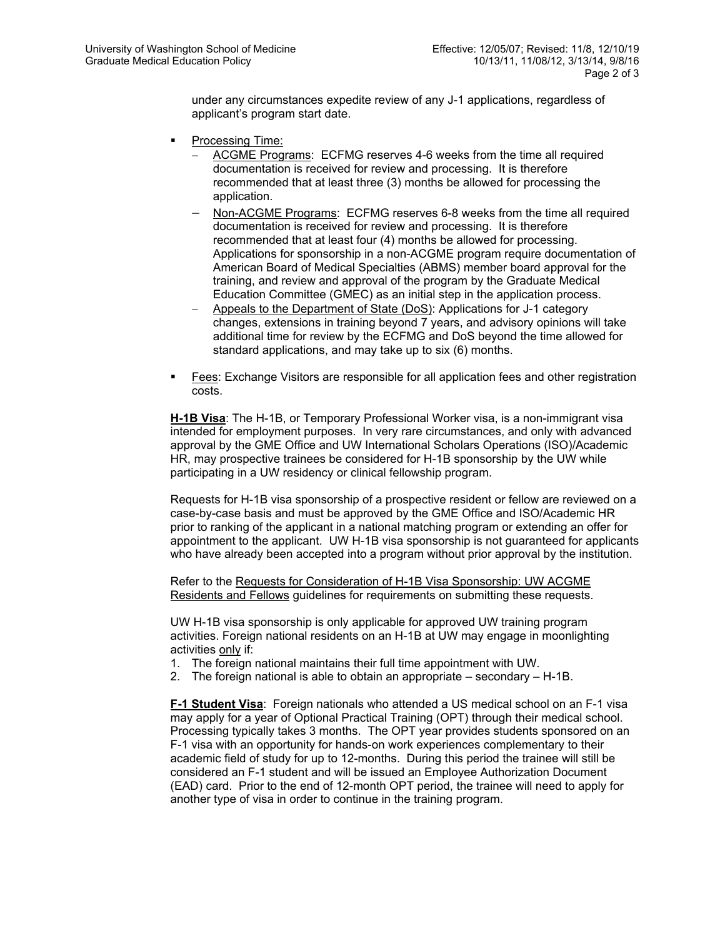under any circumstances expedite review of any J-1 applications, regardless of applicant's program start date.

- Processing Time:
	- − ACGME Programs: ECFMG reserves 4-6 weeks from the time all required documentation is received for review and processing. It is therefore recommended that at least three (3) months be allowed for processing the application.
	- Non-ACGME Programs: ECFMG reserves 6-8 weeks from the time all required documentation is received for review and processing. It is therefore recommended that at least four (4) months be allowed for processing. Applications for sponsorship in a non-ACGME program require documentation of American Board of Medical Specialties (ABMS) member board approval for the training, and review and approval of the program by the Graduate Medical Education Committee (GMEC) as an initial step in the application process.
	- − Appeals to the Department of State (DoS): Applications for J-1 category changes, extensions in training beyond 7 years, and advisory opinions will take additional time for review by the ECFMG and DoS beyond the time allowed for standard applications, and may take up to six (6) months.
- Fees: Exchange Visitors are responsible for all application fees and other registration costs.

**H-1B Visa**: The H-1B, or Temporary Professional Worker visa, is a non-immigrant visa intended for employment purposes. In very rare circumstances, and only with advanced approval by the GME Office and UW International Scholars Operations (ISO)/Academic HR, may prospective trainees be considered for H-1B sponsorship by the UW while participating in a UW residency or clinical fellowship program.

Requests for H-1B visa sponsorship of a prospective resident or fellow are reviewed on a case-by-case basis and must be approved by the GME Office and ISO/Academic HR prior to ranking of the applicant in a national matching program or extending an offer for appointment to the applicant. UW H-1B visa sponsorship is not guaranteed for applicants who have already been accepted into a program without prior approval by the institution.

Refer to the Requests for Consideration of H-1B Visa Sponsorship: UW ACGME Residents and Fellows guidelines for requirements on submitting these requests.

UW H-1B visa sponsorship is only applicable for approved UW training program activities. Foreign national residents on an H-1B at UW may engage in moonlighting activities only if:

- 1. The foreign national maintains their full time appointment with UW.
- 2. The foreign national is able to obtain an appropriate secondary H-1B.

**F-1 Student Visa**: Foreign nationals who attended a US medical school on an F-1 visa may apply for a year of Optional Practical Training (OPT) through their medical school. Processing typically takes 3 months. The OPT year provides students sponsored on an F-1 visa with an opportunity for hands-on work experiences complementary to their academic field of study for up to 12-months. During this period the trainee will still be considered an F-1 student and will be issued an Employee Authorization Document (EAD) card. Prior to the end of 12-month OPT period, the trainee will need to apply for another type of visa in order to continue in the training program.